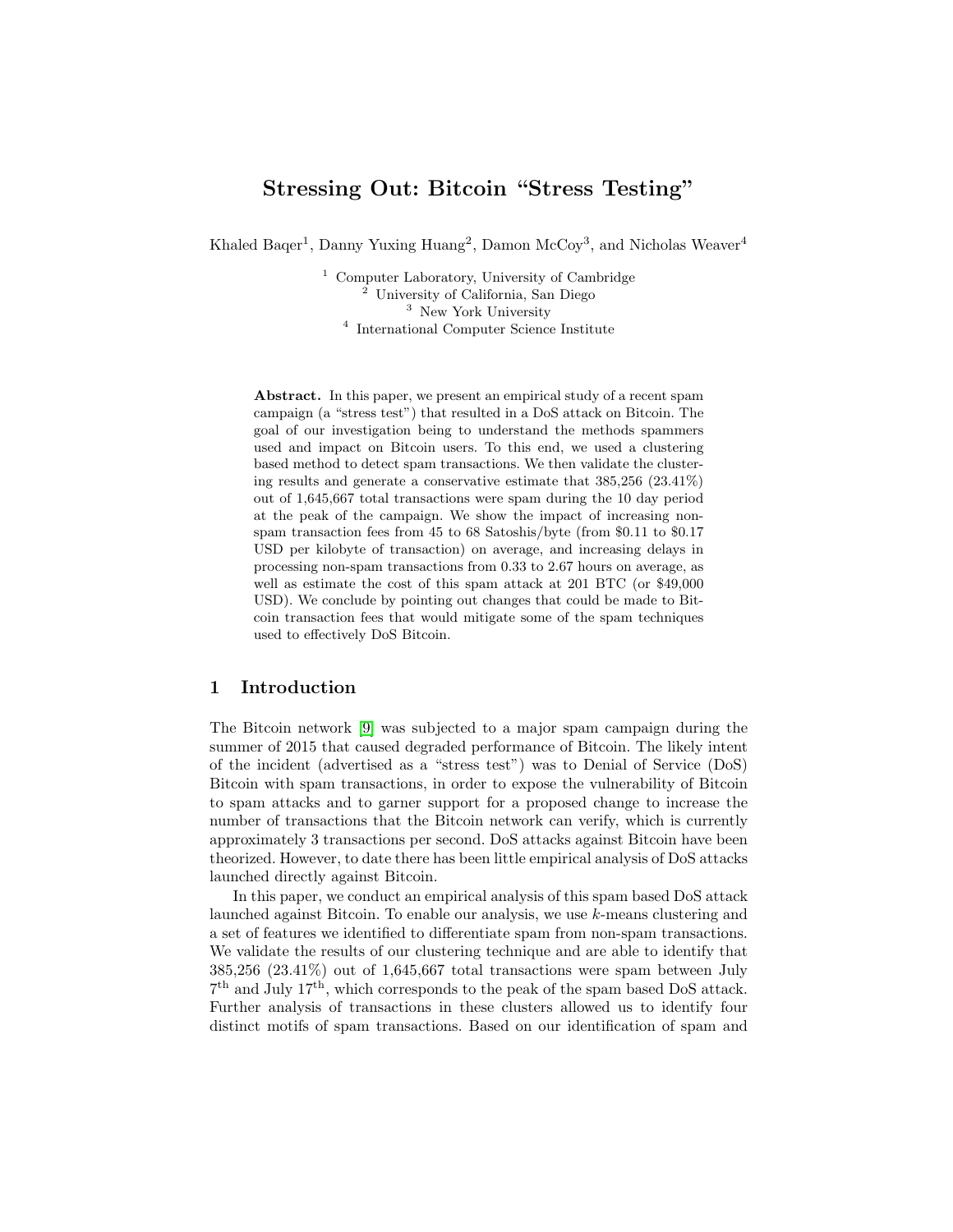# Stressing Out: Bitcoin "Stress Testing"

Khaled Baqer<sup>1</sup>, Danny Yuxing Huang<sup>2</sup>, Damon McCoy<sup>3</sup>, and Nicholas Weaver<sup>4</sup>

<sup>1</sup> Computer Laboratory, University of Cambridge  $^2$  University of California, San Diego <sup>3</sup> New York University 4 International Computer Science Institute

Abstract. In this paper, we present an empirical study of a recent spam campaign (a "stress test") that resulted in a DoS attack on Bitcoin. The goal of our investigation being to understand the methods spammers used and impact on Bitcoin users. To this end, we used a clustering based method to detect spam transactions. We then validate the clustering results and generate a conservative estimate that 385,256 (23.41%) out of 1,645,667 total transactions were spam during the 10 day period at the peak of the campaign. We show the impact of increasing nonspam transaction fees from 45 to 68 Satoshis/byte (from \$0.11 to \$0.17 USD per kilobyte of transaction) on average, and increasing delays in processing non-spam transactions from 0.33 to 2.67 hours on average, as well as estimate the cost of this spam attack at 201 BTC (or \$49,000 USD). We conclude by pointing out changes that could be made to Bitcoin transaction fees that would mitigate some of the spam techniques used to effectively DoS Bitcoin.

# 1 Introduction

The Bitcoin network [\[9\]](#page-15-0) was subjected to a major spam campaign during the summer of 2015 that caused degraded performance of Bitcoin. The likely intent of the incident (advertised as a "stress test") was to Denial of Service (DoS) Bitcoin with spam transactions, in order to expose the vulnerability of Bitcoin to spam attacks and to garner support for a proposed change to increase the number of transactions that the Bitcoin network can verify, which is currently approximately 3 transactions per second. DoS attacks against Bitcoin have been theorized. However, to date there has been little empirical analysis of DoS attacks launched directly against Bitcoin.

In this paper, we conduct an empirical analysis of this spam based DoS attack launched against Bitcoin. To enable our analysis, we use k-means clustering and a set of features we identified to differentiate spam from non-spam transactions. We validate the results of our clustering technique and are able to identify that 385,256 (23.41%) out of 1,645,667 total transactions were spam between July <sup>7th</sup> and July 17<sup>th</sup>, which corresponds to the peak of the spam based DoS attack. Further analysis of transactions in these clusters allowed us to identify four distinct motifs of spam transactions. Based on our identification of spam and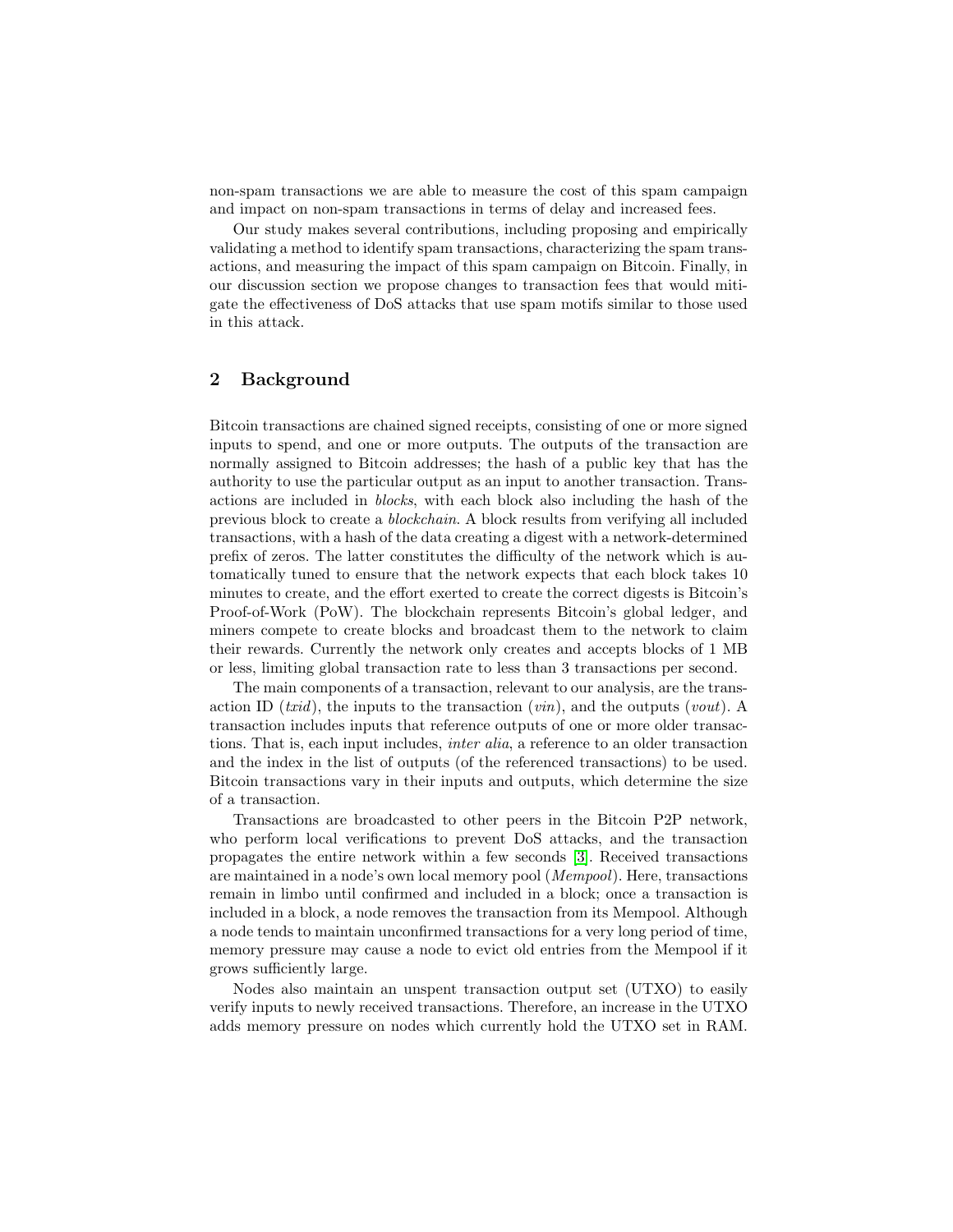non-spam transactions we are able to measure the cost of this spam campaign and impact on non-spam transactions in terms of delay and increased fees.

Our study makes several contributions, including proposing and empirically validating a method to identify spam transactions, characterizing the spam transactions, and measuring the impact of this spam campaign on Bitcoin. Finally, in our discussion section we propose changes to transaction fees that would mitigate the effectiveness of DoS attacks that use spam motifs similar to those used in this attack.

## 2 Background

Bitcoin transactions are chained signed receipts, consisting of one or more signed inputs to spend, and one or more outputs. The outputs of the transaction are normally assigned to Bitcoin addresses; the hash of a public key that has the authority to use the particular output as an input to another transaction. Transactions are included in blocks, with each block also including the hash of the previous block to create a blockchain. A block results from verifying all included transactions, with a hash of the data creating a digest with a network-determined prefix of zeros. The latter constitutes the difficulty of the network which is automatically tuned to ensure that the network expects that each block takes 10 minutes to create, and the effort exerted to create the correct digests is Bitcoin's Proof-of-Work (PoW). The blockchain represents Bitcoin's global ledger, and miners compete to create blocks and broadcast them to the network to claim their rewards. Currently the network only creates and accepts blocks of 1 MB or less, limiting global transaction rate to less than 3 transactions per second.

The main components of a transaction, relevant to our analysis, are the transaction ID (txid), the inputs to the transaction (vin), and the outputs (vout). A transaction includes inputs that reference outputs of one or more older transactions. That is, each input includes, inter alia, a reference to an older transaction and the index in the list of outputs (of the referenced transactions) to be used. Bitcoin transactions vary in their inputs and outputs, which determine the size of a transaction.

Transactions are broadcasted to other peers in the Bitcoin P2P network, who perform local verifications to prevent DoS attacks, and the transaction propagates the entire network within a few seconds [\[3\]](#page-14-0). Received transactions are maintained in a node's own local memory pool (Mempool). Here, transactions remain in limbo until confirmed and included in a block; once a transaction is included in a block, a node removes the transaction from its Mempool. Although a node tends to maintain unconfirmed transactions for a very long period of time, memory pressure may cause a node to evict old entries from the Mempool if it grows sufficiently large.

Nodes also maintain an unspent transaction output set (UTXO) to easily verify inputs to newly received transactions. Therefore, an increase in the UTXO adds memory pressure on nodes which currently hold the UTXO set in RAM.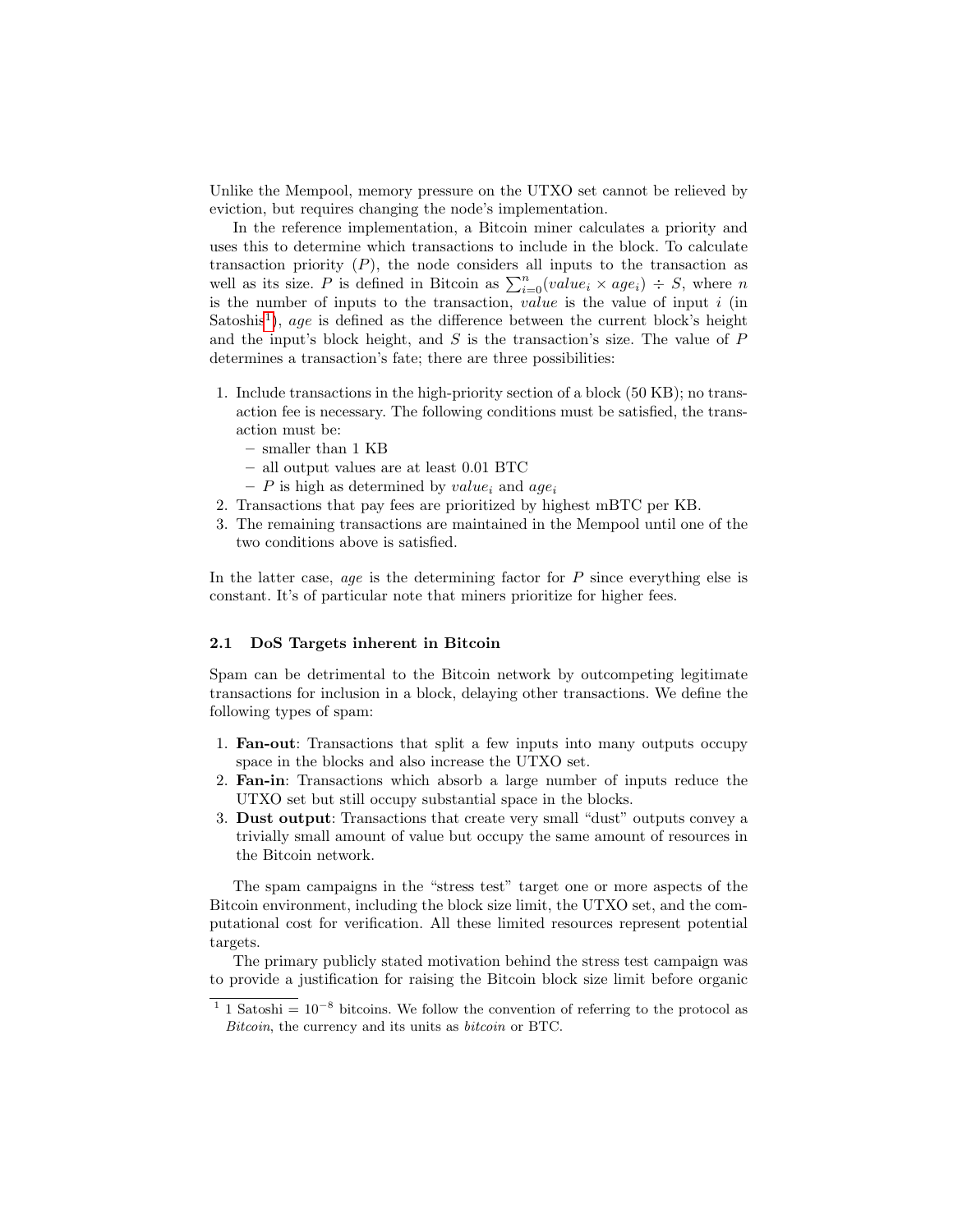Unlike the Mempool, memory pressure on the UTXO set cannot be relieved by eviction, but requires changing the node's implementation.

In the reference implementation, a Bitcoin miner calculates a priority and uses this to determine which transactions to include in the block. To calculate transaction priority  $(P)$ , the node considers all inputs to the transaction as well as its size. P is defined in Bitcoin as  $\sum_{i=0}^{n} (value_i \times age_i) \div S$ , where n is the number of inputs to the transaction, value is the value of input  $i$  (in Satoshis<sup>[1](#page-2-0)</sup>), age is defined as the difference between the current block's height and the input's block height, and  $S$  is the transaction's size. The value of  $P$ determines a transaction's fate; there are three possibilities:

- 1. Include transactions in the high-priority section of a block (50 KB); no transaction fee is necessary. The following conditions must be satisfied, the transaction must be:
	- smaller than 1 KB
	- all output values are at least 0.01 BTC
	- P is high as determined by  $value_i$  and  $age_i$
- 2. Transactions that pay fees are prioritized by highest mBTC per KB.
- 3. The remaining transactions are maintained in the Mempool until one of the two conditions above is satisfied.

In the latter case, age is the determining factor for  $P$  since everything else is constant. It's of particular note that miners prioritize for higher fees.

#### 2.1 DoS Targets inherent in Bitcoin

Spam can be detrimental to the Bitcoin network by outcompeting legitimate transactions for inclusion in a block, delaying other transactions. We define the following types of spam:

- 1. Fan-out: Transactions that split a few inputs into many outputs occupy space in the blocks and also increase the UTXO set.
- 2. Fan-in: Transactions which absorb a large number of inputs reduce the UTXO set but still occupy substantial space in the blocks.
- 3. Dust output: Transactions that create very small "dust" outputs convey a trivially small amount of value but occupy the same amount of resources in the Bitcoin network.

The spam campaigns in the "stress test" target one or more aspects of the Bitcoin environment, including the block size limit, the UTXO set, and the computational cost for verification. All these limited resources represent potential targets.

The primary publicly stated motivation behind the stress test campaign was to provide a justification for raising the Bitcoin block size limit before organic

<span id="page-2-0"></span><sup>&</sup>lt;sup>1</sup> 1 Satoshi =  $10^{-8}$  bitcoins. We follow the convention of referring to the protocol as Bitcoin, the currency and its units as bitcoin or BTC.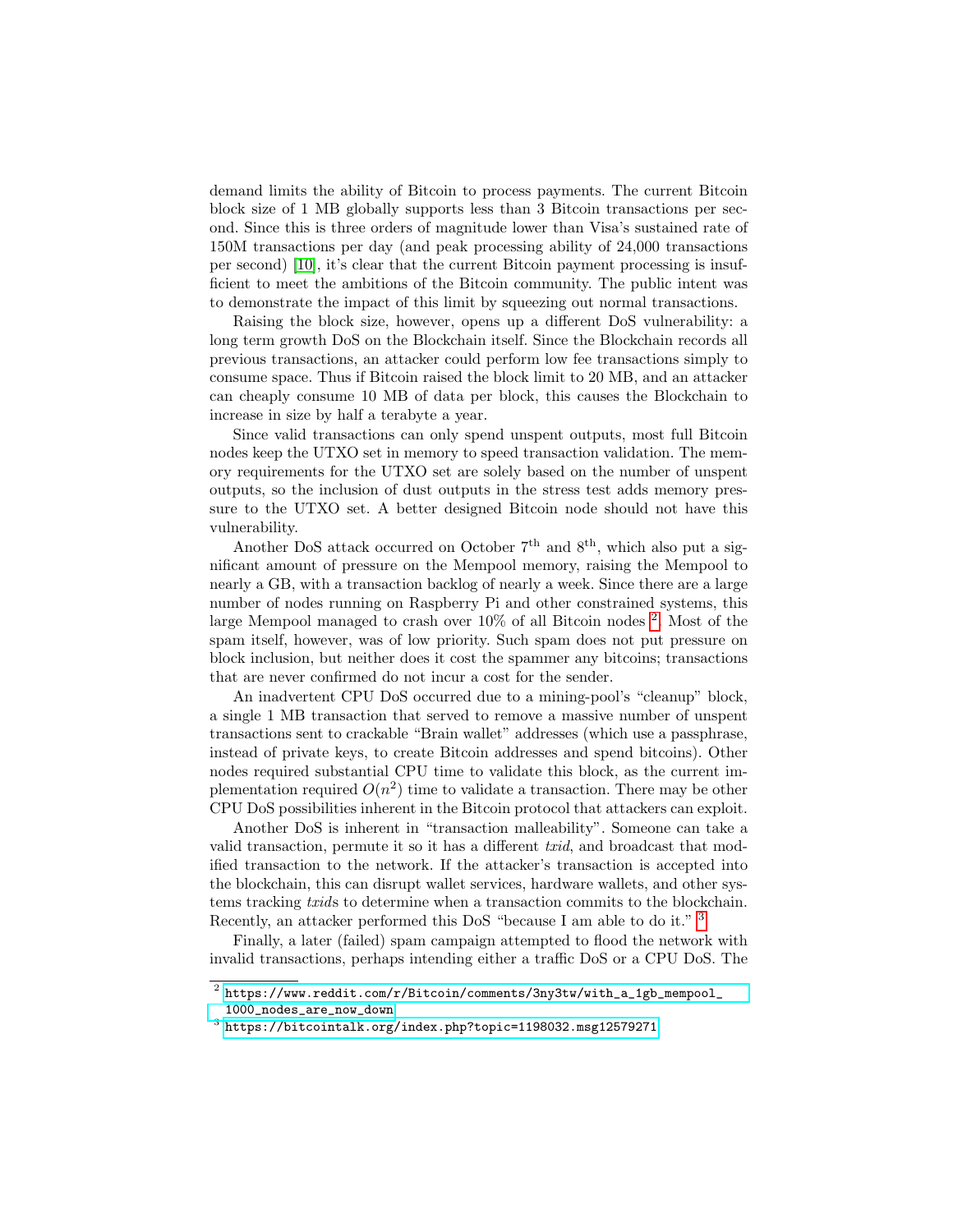demand limits the ability of Bitcoin to process payments. The current Bitcoin block size of 1 MB globally supports less than 3 Bitcoin transactions per second. Since this is three orders of magnitude lower than Visa's sustained rate of 150M transactions per day (and peak processing ability of 24,000 transactions per second) [\[10\]](#page-15-1), it's clear that the current Bitcoin payment processing is insufficient to meet the ambitions of the Bitcoin community. The public intent was to demonstrate the impact of this limit by squeezing out normal transactions.

Raising the block size, however, opens up a different DoS vulnerability: a long term growth DoS on the Blockchain itself. Since the Blockchain records all previous transactions, an attacker could perform low fee transactions simply to consume space. Thus if Bitcoin raised the block limit to 20 MB, and an attacker can cheaply consume 10 MB of data per block, this causes the Blockchain to increase in size by half a terabyte a year.

Since valid transactions can only spend unspent outputs, most full Bitcoin nodes keep the UTXO set in memory to speed transaction validation. The memory requirements for the UTXO set are solely based on the number of unspent outputs, so the inclusion of dust outputs in the stress test adds memory pressure to the UTXO set. A better designed Bitcoin node should not have this vulnerability.

Another DoS attack occurred on October 7<sup>th</sup> and 8<sup>th</sup>, which also put a significant amount of pressure on the Mempool memory, raising the Mempool to nearly a GB, with a transaction backlog of nearly a week. Since there are a large number of nodes running on Raspberry Pi and other constrained systems, this large Mempool managed to crash over 10% of all Bitcoin nodes <sup>[2](#page-3-0)</sup>. Most of the spam itself, however, was of low priority. Such spam does not put pressure on block inclusion, but neither does it cost the spammer any bitcoins; transactions that are never confirmed do not incur a cost for the sender.

An inadvertent CPU DoS occurred due to a mining-pool's "cleanup" block, a single 1 MB transaction that served to remove a massive number of unspent transactions sent to crackable "Brain wallet" addresses (which use a passphrase, instead of private keys, to create Bitcoin addresses and spend bitcoins). Other nodes required substantial CPU time to validate this block, as the current implementation required  $O(n^2)$  time to validate a transaction. There may be other CPU DoS possibilities inherent in the Bitcoin protocol that attackers can exploit.

Another DoS is inherent in "transaction malleability". Someone can take a valid transaction, permute it so it has a different *txid*, and broadcast that modified transaction to the network. If the attacker's transaction is accepted into the blockchain, this can disrupt wallet services, hardware wallets, and other systems tracking txids to determine when a transaction commits to the blockchain. Recently, an attacker performed this DoS "because I am able to do it." [3](#page-3-1)

Finally, a later (failed) spam campaign attempted to flood the network with invalid transactions, perhaps intending either a traffic DoS or a CPU DoS. The

<span id="page-3-0"></span> $^2$  [https://www.reddit.com/r/Bitcoin/comments/3ny3tw/with\\_a\\_1gb\\_mempool\\_](https://www.reddit.com/r/Bitcoin/comments/3ny3tw/with_a_1gb_mempool_1000_nodes_are_now_down) [1000\\_nodes\\_are\\_now\\_down](https://www.reddit.com/r/Bitcoin/comments/3ny3tw/with_a_1gb_mempool_1000_nodes_are_now_down)

<span id="page-3-1"></span> $^3$  <https://bitcointalk.org/index.php?topic=1198032.msg12579271>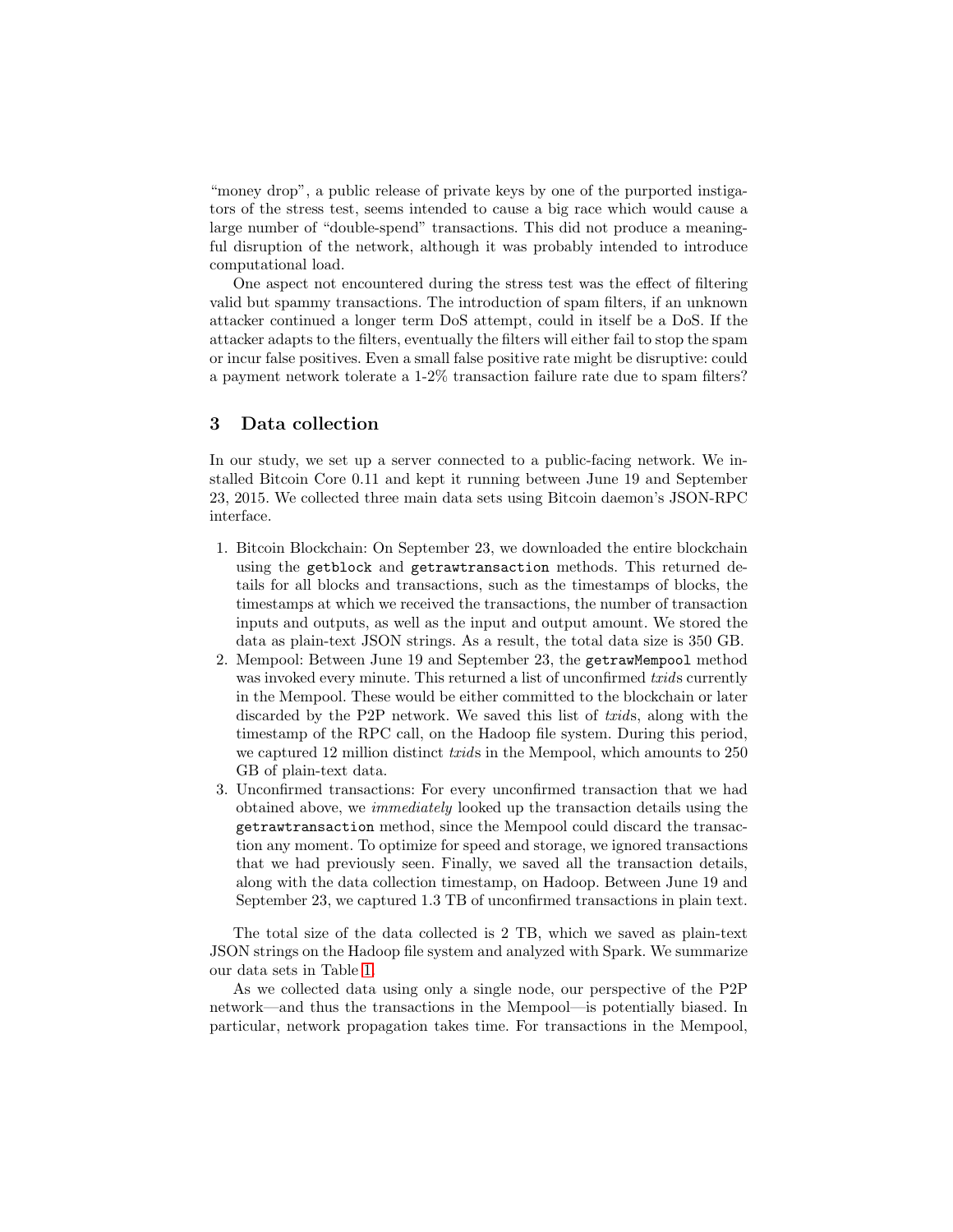"money drop", a public release of private keys by one of the purported instigators of the stress test, seems intended to cause a big race which would cause a large number of "double-spend" transactions. This did not produce a meaningful disruption of the network, although it was probably intended to introduce computational load.

One aspect not encountered during the stress test was the effect of filtering valid but spammy transactions. The introduction of spam filters, if an unknown attacker continued a longer term DoS attempt, could in itself be a DoS. If the attacker adapts to the filters, eventually the filters will either fail to stop the spam or incur false positives. Even a small false positive rate might be disruptive: could a payment network tolerate a 1-2% transaction failure rate due to spam filters?

# 3 Data collection

In our study, we set up a server connected to a public-facing network. We installed Bitcoin Core 0.11 and kept it running between June 19 and September 23, 2015. We collected three main data sets using Bitcoin daemon's JSON-RPC interface.

- 1. Bitcoin Blockchain: On September 23, we downloaded the entire blockchain using the getblock and getrawtransaction methods. This returned details for all blocks and transactions, such as the timestamps of blocks, the timestamps at which we received the transactions, the number of transaction inputs and outputs, as well as the input and output amount. We stored the data as plain-text JSON strings. As a result, the total data size is 350 GB.
- 2. Mempool: Between June 19 and September 23, the getrawMempool method was invoked every minute. This returned a list of unconfirmed txids currently in the Mempool. These would be either committed to the blockchain or later discarded by the P2P network. We saved this list of txids, along with the timestamp of the RPC call, on the Hadoop file system. During this period, we captured 12 million distinct *txids* in the Mempool, which amounts to 250 GB of plain-text data.
- 3. Unconfirmed transactions: For every unconfirmed transaction that we had obtained above, we immediately looked up the transaction details using the getrawtransaction method, since the Mempool could discard the transaction any moment. To optimize for speed and storage, we ignored transactions that we had previously seen. Finally, we saved all the transaction details, along with the data collection timestamp, on Hadoop. Between June 19 and September 23, we captured 1.3 TB of unconfirmed transactions in plain text.

The total size of the data collected is 2 TB, which we saved as plain-text JSON strings on the Hadoop file system and analyzed with Spark. We summarize our data sets in Table [1.](#page-5-0)

As we collected data using only a single node, our perspective of the P2P network—and thus the transactions in the Mempool—is potentially biased. In particular, network propagation takes time. For transactions in the Mempool,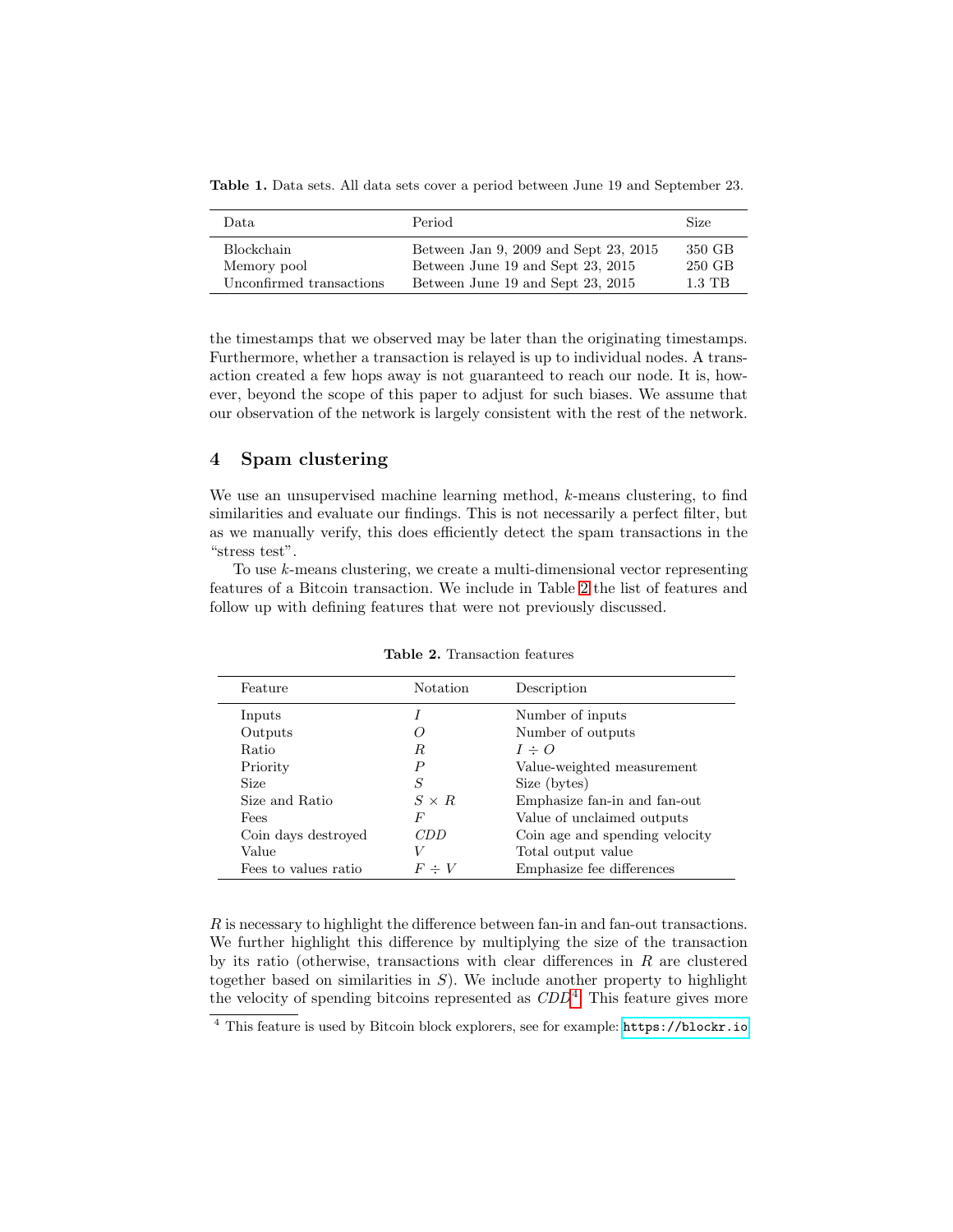<span id="page-5-0"></span>Table 1. Data sets. All data sets cover a period between June 19 and September 23.

| Data.                    | Period                                | Size     |
|--------------------------|---------------------------------------|----------|
| Blockchain               | Between Jan 9, 2009 and Sept 23, 2015 | 350 GB   |
| Memory pool              | Between June 19 and Sept 23, 2015     | 250 GB   |
| Unconfirmed transactions | Between June 19 and Sept 23, 2015     | $1.3$ TB |

the timestamps that we observed may be later than the originating timestamps. Furthermore, whether a transaction is relayed is up to individual nodes. A transaction created a few hops away is not guaranteed to reach our node. It is, however, beyond the scope of this paper to adjust for such biases. We assume that our observation of the network is largely consistent with the rest of the network.

## 4 Spam clustering

We use an unsupervised machine learning method, k-means clustering, to find similarities and evaluate our findings. This is not necessarily a perfect filter, but as we manually verify, this does efficiently detect the spam transactions in the "stress test".

To use k-means clustering, we create a multi-dimensional vector representing features of a Bitcoin transaction. We include in Table [2](#page-5-1) the list of features and follow up with defining features that were not previously discussed.

<span id="page-5-1"></span>

| Feature              | Notation     | Description                    |
|----------------------|--------------|--------------------------------|
| Inputs               |              | Number of inputs               |
| Outputs              |              | Number of outputs              |
| Ratio                | R.           | $I \div O$                     |
| Priority             | Р            | Value-weighted measurement     |
| <b>Size</b>          | S            | Size (bytes)                   |
| Size and Ratio       | $S \times R$ | Emphasize fan-in and fan-out   |
| Fees                 | F            | Value of unclaimed outputs     |
| Coin days destroyed  | CDD          | Coin age and spending velocity |
| Value                | V            | Total output value             |
| Fees to values ratio | $F \div V$   | Emphasize fee differences      |

Table 2. Transaction features

R is necessary to highlight the difference between fan-in and fan-out transactions. We further highlight this difference by multiplying the size of the transaction by its ratio (otherwise, transactions with clear differences in  $R$  are clustered together based on similarities in  $S$ ). We include another property to highlight the velocity of spending bitcoins represented as  $CDD<sup>4</sup>$  $CDD<sup>4</sup>$  $CDD<sup>4</sup>$ . This feature gives more

<span id="page-5-2"></span><sup>4</sup> This feature is used by Bitcoin block explorers, see for example: <https://blockr.io>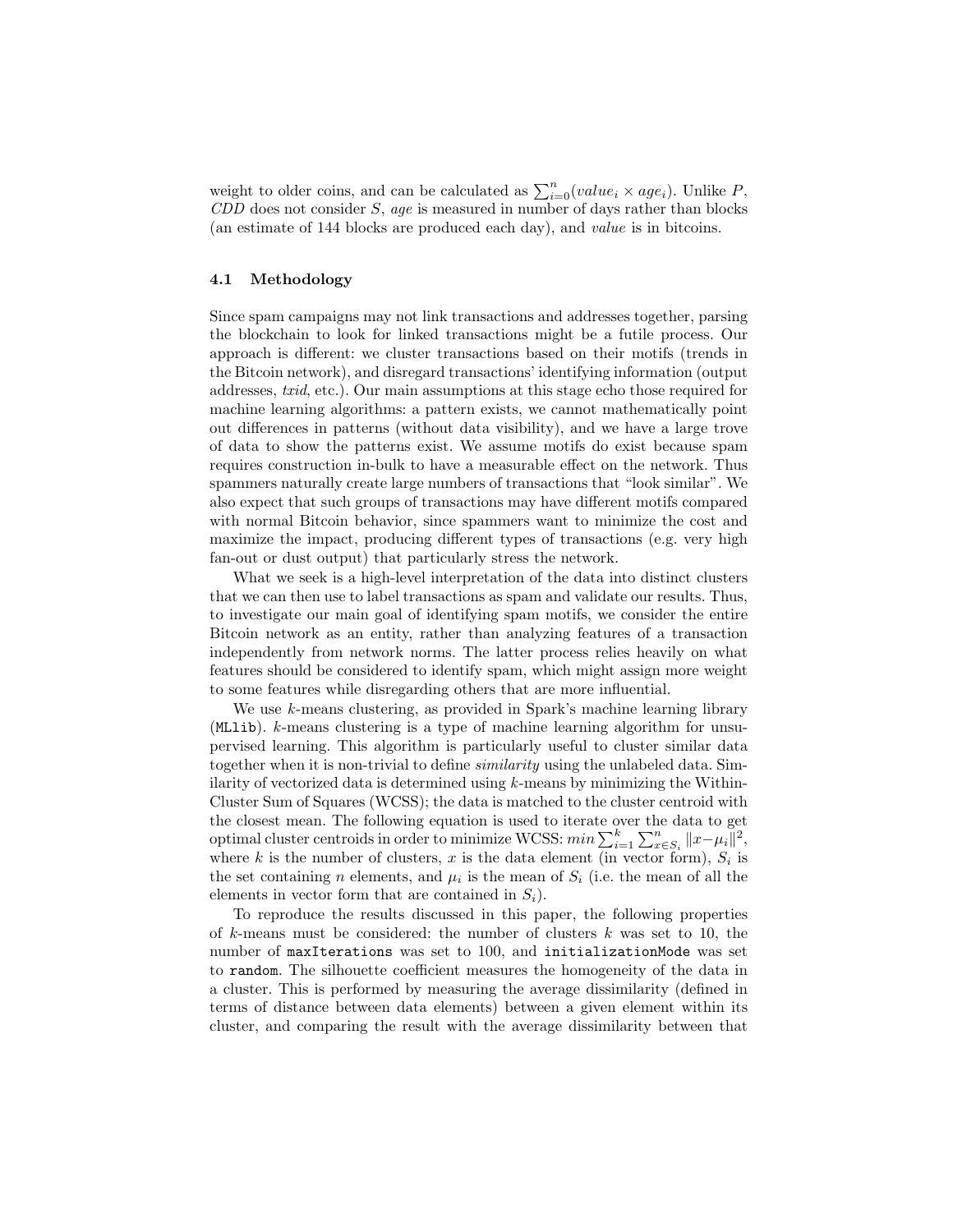weight to older coins, and can be calculated as  $\sum_{i=0}^{n} (value_i \times age_i)$ . Unlike P,  $CDD$  does not consider  $S$ , age is measured in number of days rather than blocks (an estimate of 144 blocks are produced each day), and value is in bitcoins.

#### 4.1 Methodology

Since spam campaigns may not link transactions and addresses together, parsing the blockchain to look for linked transactions might be a futile process. Our approach is different: we cluster transactions based on their motifs (trends in the Bitcoin network), and disregard transactions' identifying information (output addresses, txid, etc.). Our main assumptions at this stage echo those required for machine learning algorithms: a pattern exists, we cannot mathematically point out differences in patterns (without data visibility), and we have a large trove of data to show the patterns exist. We assume motifs do exist because spam requires construction in-bulk to have a measurable effect on the network. Thus spammers naturally create large numbers of transactions that "look similar". We also expect that such groups of transactions may have different motifs compared with normal Bitcoin behavior, since spammers want to minimize the cost and maximize the impact, producing different types of transactions (e.g. very high fan-out or dust output) that particularly stress the network.

What we seek is a high-level interpretation of the data into distinct clusters that we can then use to label transactions as spam and validate our results. Thus, to investigate our main goal of identifying spam motifs, we consider the entire Bitcoin network as an entity, rather than analyzing features of a transaction independently from network norms. The latter process relies heavily on what features should be considered to identify spam, which might assign more weight to some features while disregarding others that are more influential.

We use *k*-means clustering, as provided in Spark's machine learning library (MLlib). k-means clustering is a type of machine learning algorithm for unsupervised learning. This algorithm is particularly useful to cluster similar data together when it is non-trivial to define similarity using the unlabeled data. Similarity of vectorized data is determined using k-means by minimizing the Within-Cluster Sum of Squares (WCSS); the data is matched to the cluster centroid with the closest mean. The following equation is used to iterate over the data to get optimal cluster centroids in order to minimize WCSS:  $min \sum_{i=1}^{k} \sum_{x \in S_i}^{n} ||x - \mu_i||^2$ , where k is the number of clusters, x is the data element (in vector form),  $S_i$  is the set containing *n* elements, and  $\mu_i$  is the mean of  $S_i$  (i.e. the mean of all the elements in vector form that are contained in  $S_i$ ).

To reproduce the results discussed in this paper, the following properties of  $k$ -means must be considered: the number of clusters  $k$  was set to 10, the number of maxIterations was set to 100, and initializationMode was set to random. The silhouette coefficient measures the homogeneity of the data in a cluster. This is performed by measuring the average dissimilarity (defined in terms of distance between data elements) between a given element within its cluster, and comparing the result with the average dissimilarity between that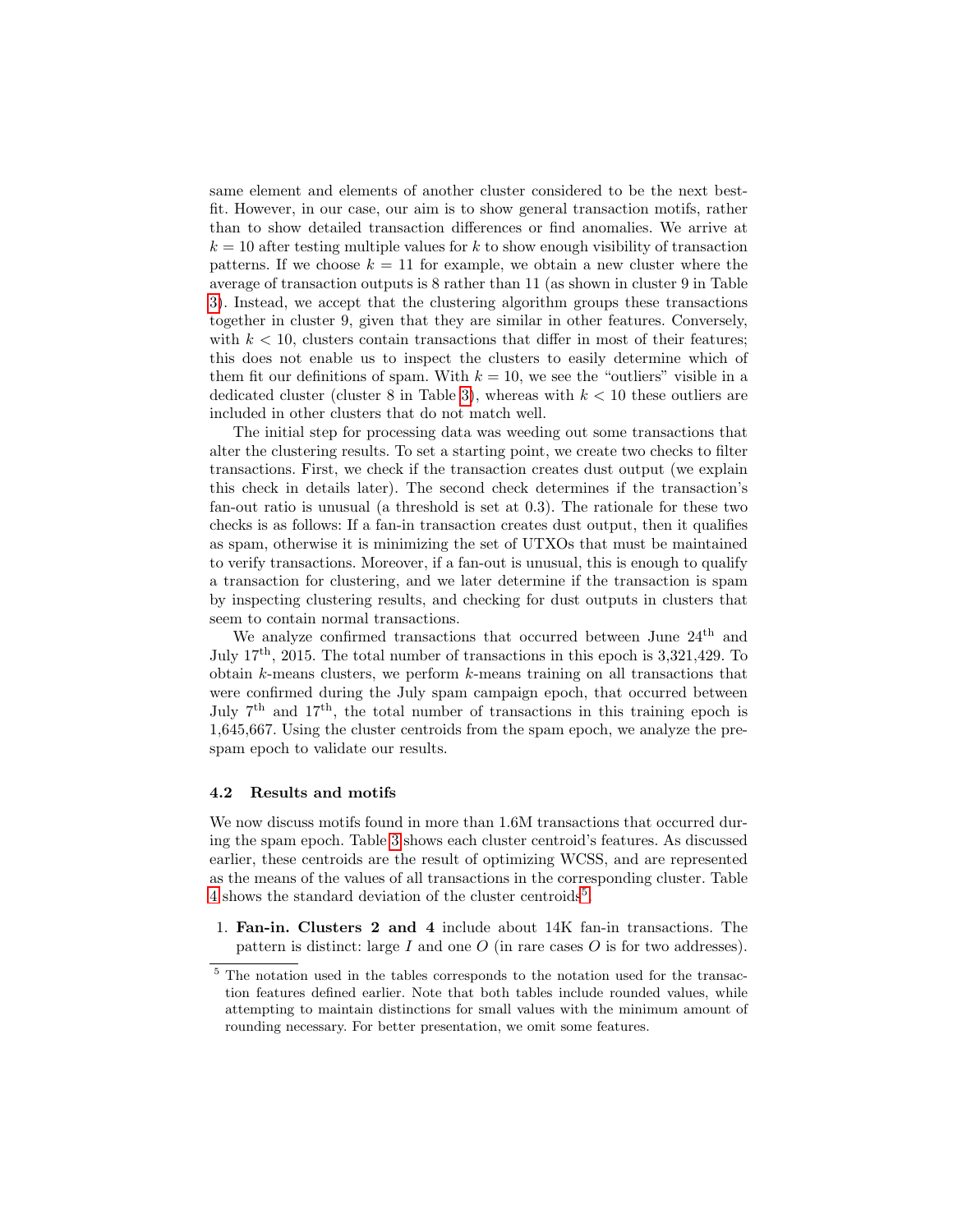same element and elements of another cluster considered to be the next bestfit. However, in our case, our aim is to show general transaction motifs, rather than to show detailed transaction differences or find anomalies. We arrive at  $k = 10$  after testing multiple values for k to show enough visibility of transaction patterns. If we choose  $k = 11$  for example, we obtain a new cluster where the average of transaction outputs is 8 rather than 11 (as shown in cluster 9 in Table [3\)](#page-8-0). Instead, we accept that the clustering algorithm groups these transactions together in cluster 9, given that they are similar in other features. Conversely, with  $k < 10$ , clusters contain transactions that differ in most of their features; this does not enable us to inspect the clusters to easily determine which of them fit our definitions of spam. With  $k = 10$ , we see the "outliers" visible in a dedicated cluster (cluster 8 in Table [3\)](#page-8-0), whereas with  $k < 10$  these outliers are included in other clusters that do not match well.

The initial step for processing data was weeding out some transactions that alter the clustering results. To set a starting point, we create two checks to filter transactions. First, we check if the transaction creates dust output (we explain this check in details later). The second check determines if the transaction's fan-out ratio is unusual (a threshold is set at 0.3). The rationale for these two checks is as follows: If a fan-in transaction creates dust output, then it qualifies as spam, otherwise it is minimizing the set of UTXOs that must be maintained to verify transactions. Moreover, if a fan-out is unusual, this is enough to qualify a transaction for clustering, and we later determine if the transaction is spam by inspecting clustering results, and checking for dust outputs in clusters that seem to contain normal transactions.

We analyze confirmed transactions that occurred between June  $24<sup>th</sup>$  and July 17th, 2015. The total number of transactions in this epoch is 3,321,429. To obtain  $k$ -means clusters, we perform  $k$ -means training on all transactions that were confirmed during the July spam campaign epoch, that occurred between July  $7<sup>th</sup>$  and  $17<sup>th</sup>$ , the total number of transactions in this training epoch is 1,645,667. Using the cluster centroids from the spam epoch, we analyze the prespam epoch to validate our results.

#### 4.2 Results and motifs

We now discuss motifs found in more than 1.6M transactions that occurred during the spam epoch. Table [3](#page-8-0) shows each cluster centroid's features. As discussed earlier, these centroids are the result of optimizing WCSS, and are represented as the means of the values of all transactions in the corresponding cluster. Table [4](#page-8-1) shows the standard deviation of the cluster centroids<sup>[5](#page-7-0)</sup>.

1. Fan-in. Clusters 2 and 4 include about 14K fan-in transactions. The pattern is distinct: large I and one O (in rare cases  $O$  is for two addresses).

<span id="page-7-0"></span><sup>5</sup> The notation used in the tables corresponds to the notation used for the transaction features defined earlier. Note that both tables include rounded values, while attempting to maintain distinctions for small values with the minimum amount of rounding necessary. For better presentation, we omit some features.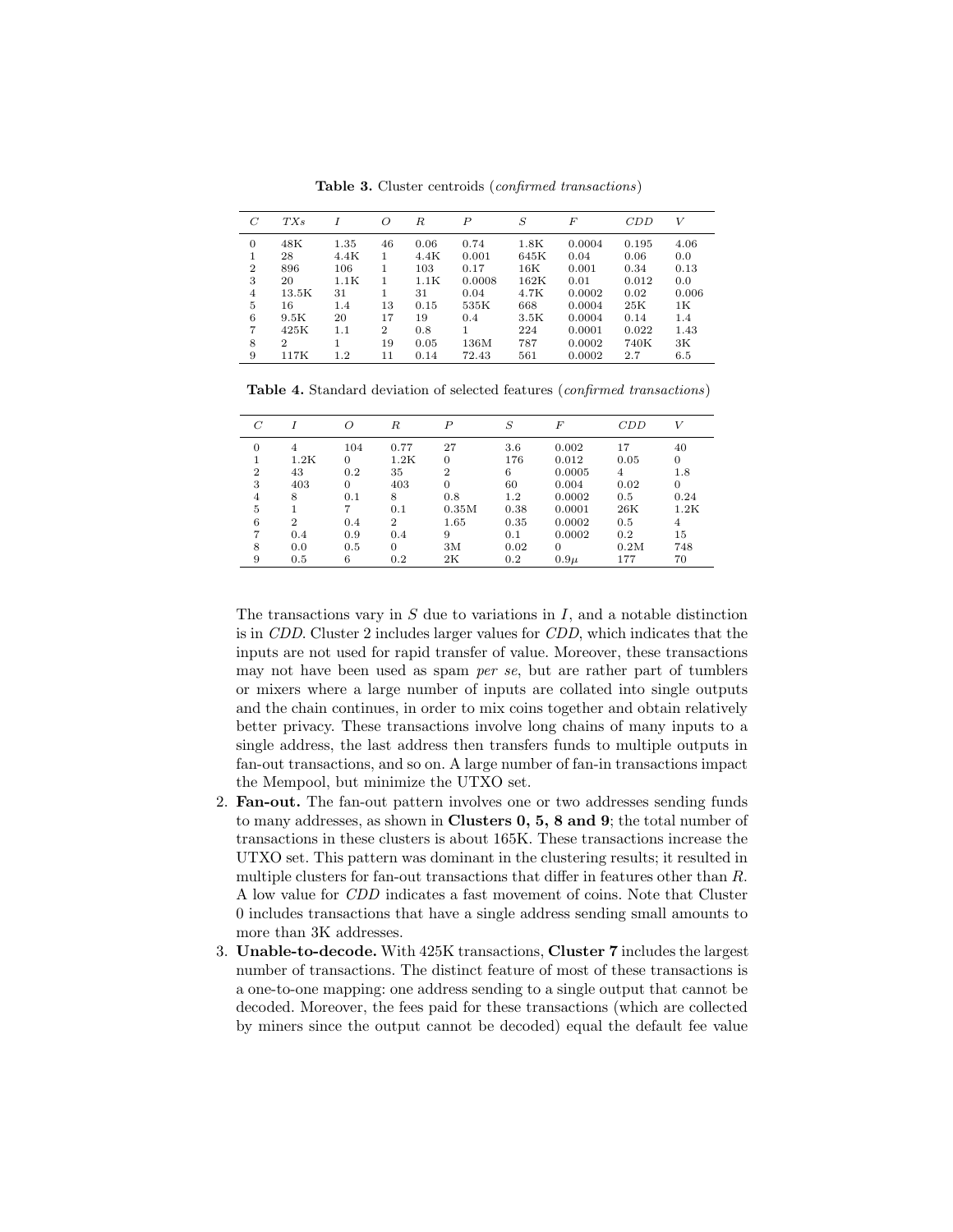Table 3. Cluster centroids (confirmed transactions)

<span id="page-8-0"></span>

| $\,C$          | TXs   |      | $\Omega$       | R    | $\boldsymbol{P}$ | S              | F      | CDD   | V     |
|----------------|-------|------|----------------|------|------------------|----------------|--------|-------|-------|
| $\overline{0}$ | 48K   | 1.35 | 46             | 0.06 | 0.74             | 1.8K           | 0.0004 | 0.195 | 4.06  |
| 1              | 28    | 4.4K | 1              | 4.4K | 0.001            | 645K           | 0.04   | 0.06  | 0.0   |
| $\overline{2}$ | 896   | 106  |                | 103  | 0.17             | $16\mathrm{K}$ | 0.001  | 0.34  | 0.13  |
| 3              | 20    | 1.1K |                | 1.1K | 0.0008           | 162K           | 0.01   | 0.012 | 0.0   |
| $\overline{4}$ | 13.5K | 31   | 1              | 31   | 0.04             | 4.7K           | 0.0002 | 0.02  | 0.006 |
| 5              | 16    | 1.4  | 13             | 0.15 | 535K             | 668            | 0.0004 | 25K   | 1K    |
| 6              | 9.5K  | 20   | 17             | 19   | 0.4              | 3.5K           | 0.0004 | 0.14  | 1.4   |
| 7              | 425K  | 1.1  | $\overline{2}$ | 0.8  | 1.               | 224            | 0.0001 | 0.022 | 1.43  |
| 8              | 2     |      | 19             | 0.05 | 136M             | 787            | 0.0002 | 740K  | 3K    |
| 9              | 117K  | 1.2  | 11             | 0.14 | 72.43            | 561            | 0.0002 | 2.7   | 6.5   |

<span id="page-8-1"></span>Table 4. Standard deviation of selected features (confirmed transactions)

| S<br>F<br>R<br>CDD<br>C<br>D<br>$\Omega$                                |      |
|-------------------------------------------------------------------------|------|
| 104<br>0.77<br>27<br>3.6<br>0.002<br>17<br>$\theta$<br>4                | 40   |
| 1.2K<br>1.2K<br>176<br>0.012<br>0.05<br>$\Omega$<br>0                   | 0    |
| $\overline{2}$<br>35<br>0.0005<br>43<br>0.2<br>2<br>6<br>$\overline{4}$ | 1.8  |
| 3<br>403<br>403<br>60<br>0.004<br>0.02                                  | 0    |
| 0.8<br>0.0002<br>8<br>1.2<br>8<br>0.1<br>0.5<br>4                       | 0.24 |
| 5<br>0.35M<br>0.38<br>0.0001<br>26K<br>0.1                              | 1.2K |
| 6<br>2<br>$\overline{2}$<br>1.65<br>0.0002<br>0.35<br>0.5<br>0.4        | 4    |
| 7<br>0.0002<br>0.9<br>0.2<br>0.4<br>9<br>0.1<br>0.4                     | 15   |
| 3M<br>8<br>0.2M<br>0.02<br>0.0<br>$\Omega$<br>0.5<br>$\Omega$           | 748  |
| 9<br>2Κ<br>177<br>0.2<br>0.2<br>$0.9\mu$<br>0.5<br>6                    | 70   |

The transactions vary in  $S$  due to variations in  $I$ , and a notable distinction is in CDD. Cluster 2 includes larger values for CDD, which indicates that the inputs are not used for rapid transfer of value. Moreover, these transactions may not have been used as spam per se, but are rather part of tumblers or mixers where a large number of inputs are collated into single outputs and the chain continues, in order to mix coins together and obtain relatively better privacy. These transactions involve long chains of many inputs to a single address, the last address then transfers funds to multiple outputs in fan-out transactions, and so on. A large number of fan-in transactions impact the Mempool, but minimize the UTXO set.

- 2. Fan-out. The fan-out pattern involves one or two addresses sending funds to many addresses, as shown in Clusters 0, 5, 8 and 9; the total number of transactions in these clusters is about 165K. These transactions increase the UTXO set. This pattern was dominant in the clustering results; it resulted in multiple clusters for fan-out transactions that differ in features other than R. A low value for CDD indicates a fast movement of coins. Note that Cluster 0 includes transactions that have a single address sending small amounts to more than 3K addresses.
- 3. Unable-to-decode. With 425K transactions, Cluster 7 includes the largest number of transactions. The distinct feature of most of these transactions is a one-to-one mapping: one address sending to a single output that cannot be decoded. Moreover, the fees paid for these transactions (which are collected by miners since the output cannot be decoded) equal the default fee value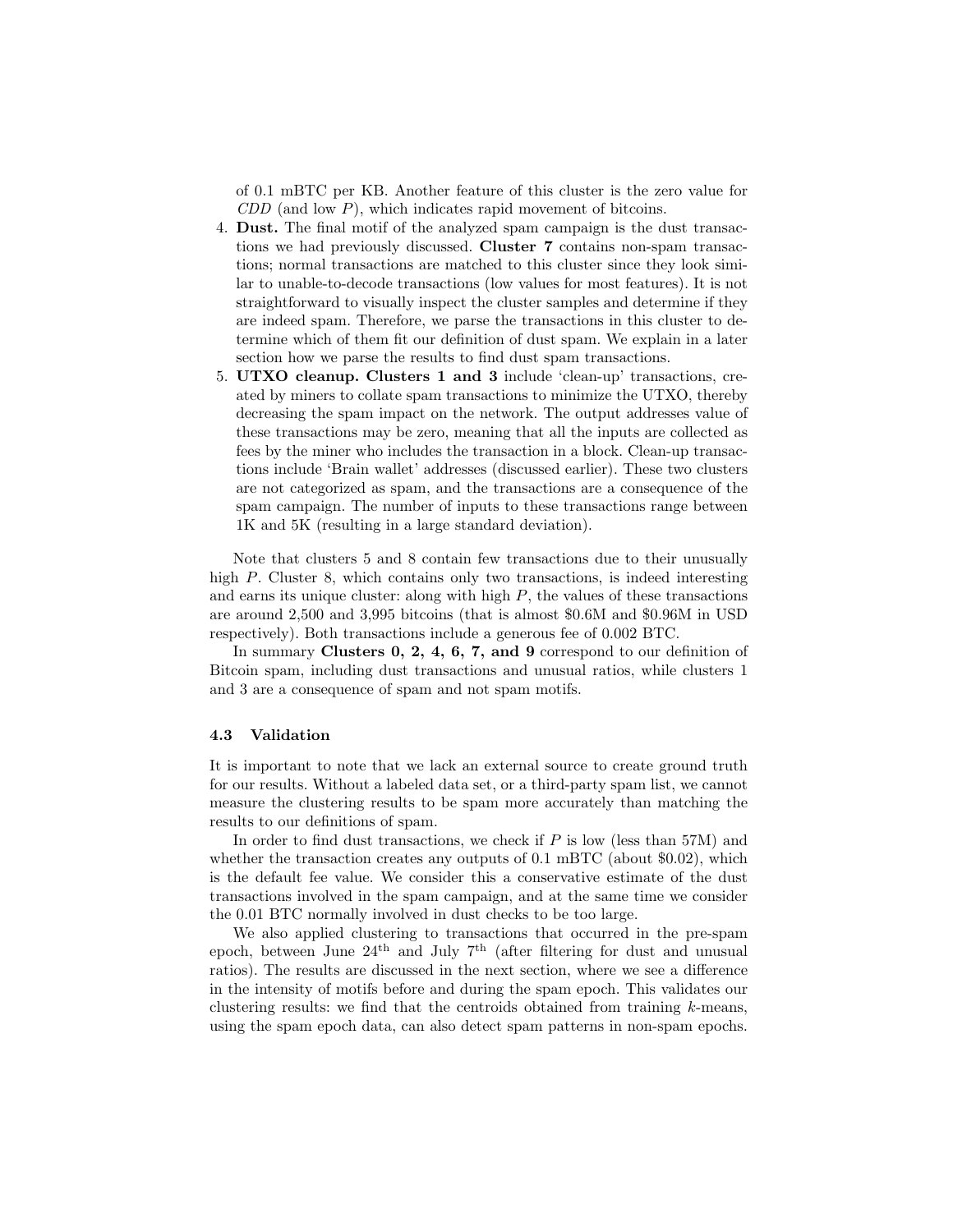of 0.1 mBTC per KB. Another feature of this cluster is the zero value for  $CDD$  (and low P), which indicates rapid movement of bitcoins.

- 4. Dust. The final motif of the analyzed spam campaign is the dust transactions we had previously discussed. Cluster 7 contains non-spam transactions; normal transactions are matched to this cluster since they look similar to unable-to-decode transactions (low values for most features). It is not straightforward to visually inspect the cluster samples and determine if they are indeed spam. Therefore, we parse the transactions in this cluster to determine which of them fit our definition of dust spam. We explain in a later section how we parse the results to find dust spam transactions.
- 5. UTXO cleanup. Clusters 1 and 3 include 'clean-up' transactions, created by miners to collate spam transactions to minimize the UTXO, thereby decreasing the spam impact on the network. The output addresses value of these transactions may be zero, meaning that all the inputs are collected as fees by the miner who includes the transaction in a block. Clean-up transactions include 'Brain wallet' addresses (discussed earlier). These two clusters are not categorized as spam, and the transactions are a consequence of the spam campaign. The number of inputs to these transactions range between 1K and 5K (resulting in a large standard deviation).

Note that clusters 5 and 8 contain few transactions due to their unusually high P. Cluster 8, which contains only two transactions, is indeed interesting and earns its unique cluster: along with high  $P$ , the values of these transactions are around 2,500 and 3,995 bitcoins (that is almost \$0.6M and \$0.96M in USD respectively). Both transactions include a generous fee of 0.002 BTC.

In summary Clusters 0, 2, 4, 6, 7, and 9 correspond to our definition of Bitcoin spam, including dust transactions and unusual ratios, while clusters 1 and 3 are a consequence of spam and not spam motifs.

#### 4.3 Validation

It is important to note that we lack an external source to create ground truth for our results. Without a labeled data set, or a third-party spam list, we cannot measure the clustering results to be spam more accurately than matching the results to our definitions of spam.

In order to find dust transactions, we check if  $P$  is low (less than 57M) and whether the transaction creates any outputs of  $0.1 \text{ mBTC}$  (about \$0.02), which is the default fee value. We consider this a conservative estimate of the dust transactions involved in the spam campaign, and at the same time we consider the 0.01 BTC normally involved in dust checks to be too large.

We also applied clustering to transactions that occurred in the pre-spam epoch, between June  $24<sup>th</sup>$  and July  $7<sup>th</sup>$  (after filtering for dust and unusual ratios). The results are discussed in the next section, where we see a difference in the intensity of motifs before and during the spam epoch. This validates our clustering results: we find that the centroids obtained from training  $k$ -means, using the spam epoch data, can also detect spam patterns in non-spam epochs.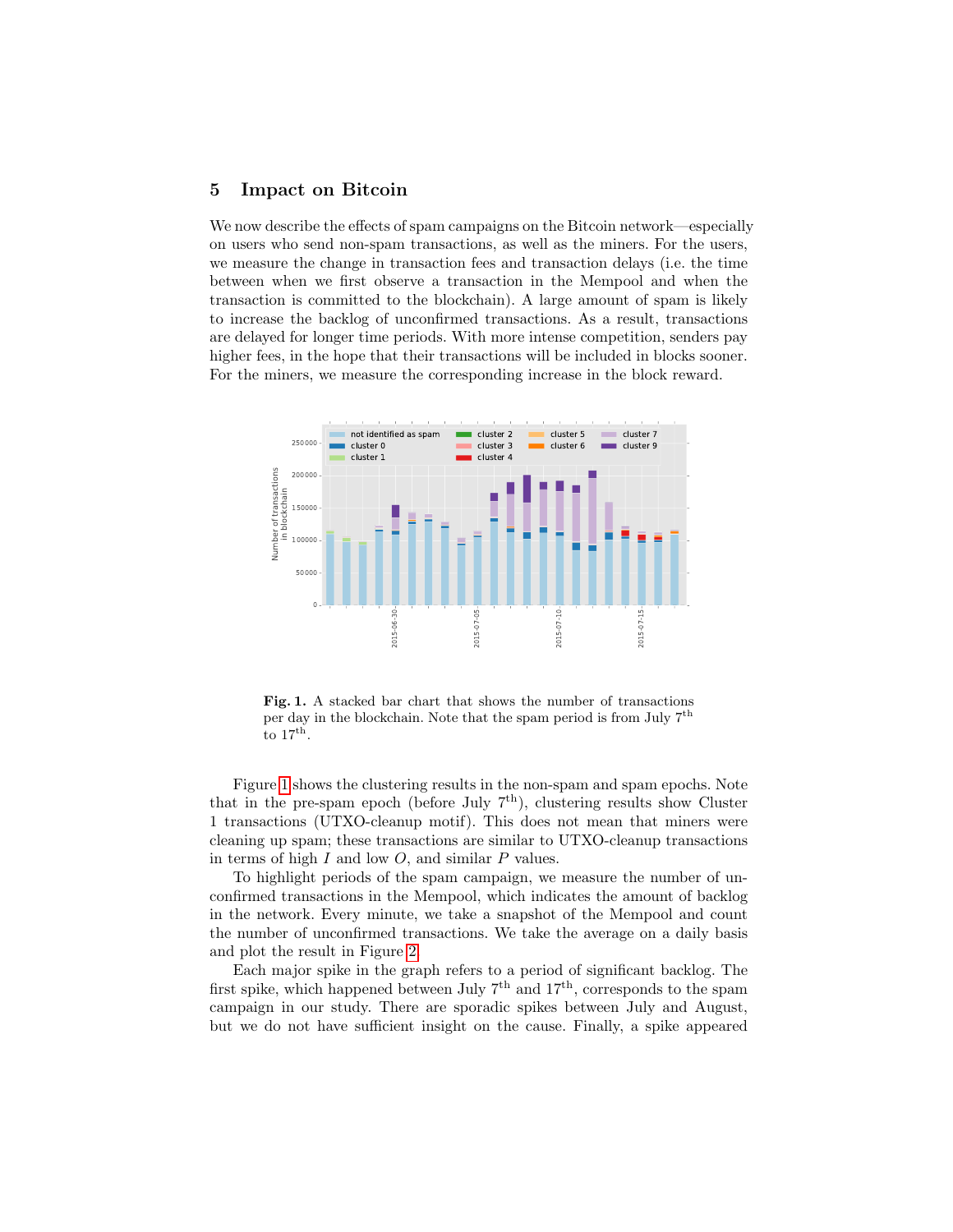### 5 Impact on Bitcoin

We now describe the effects of spam campaigns on the Bitcoin network—especially on users who send non-spam transactions, as well as the miners. For the users, we measure the change in transaction fees and transaction delays (i.e. the time between when we first observe a transaction in the Mempool and when the transaction is committed to the blockchain). A large amount of spam is likely to increase the backlog of unconfirmed transactions. As a result, transactions are delayed for longer time periods. With more intense competition, senders pay higher fees, in the hope that their transactions will be included in blocks sooner. For the miners, we measure the corresponding increase in the block reward.



<span id="page-10-0"></span>Fig. 1. A stacked bar chart that shows the number of transactions per day in the blockchain. Note that the spam period is from July  $7<sup>th</sup>$ to  $17^{\text{th}}$ .

Figure [1](#page-10-0) shows the clustering results in the non-spam and spam epochs. Note that in the pre-spam epoch (before July  $7<sup>th</sup>$ ), clustering results show Cluster 1 transactions (UTXO-cleanup motif). This does not mean that miners were cleaning up spam; these transactions are similar to UTXO-cleanup transactions in terms of high  $I$  and low  $O$ , and similar  $P$  values.

To highlight periods of the spam campaign, we measure the number of unconfirmed transactions in the Mempool, which indicates the amount of backlog in the network. Every minute, we take a snapshot of the Mempool and count the number of unconfirmed transactions. We take the average on a daily basis and plot the result in Figure [2.](#page-11-0)

Each major spike in the graph refers to a period of significant backlog. The first spike, which happened between July  $7<sup>th</sup>$  and  $17<sup>th</sup>$ , corresponds to the spam campaign in our study. There are sporadic spikes between July and August, but we do not have sufficient insight on the cause. Finally, a spike appeared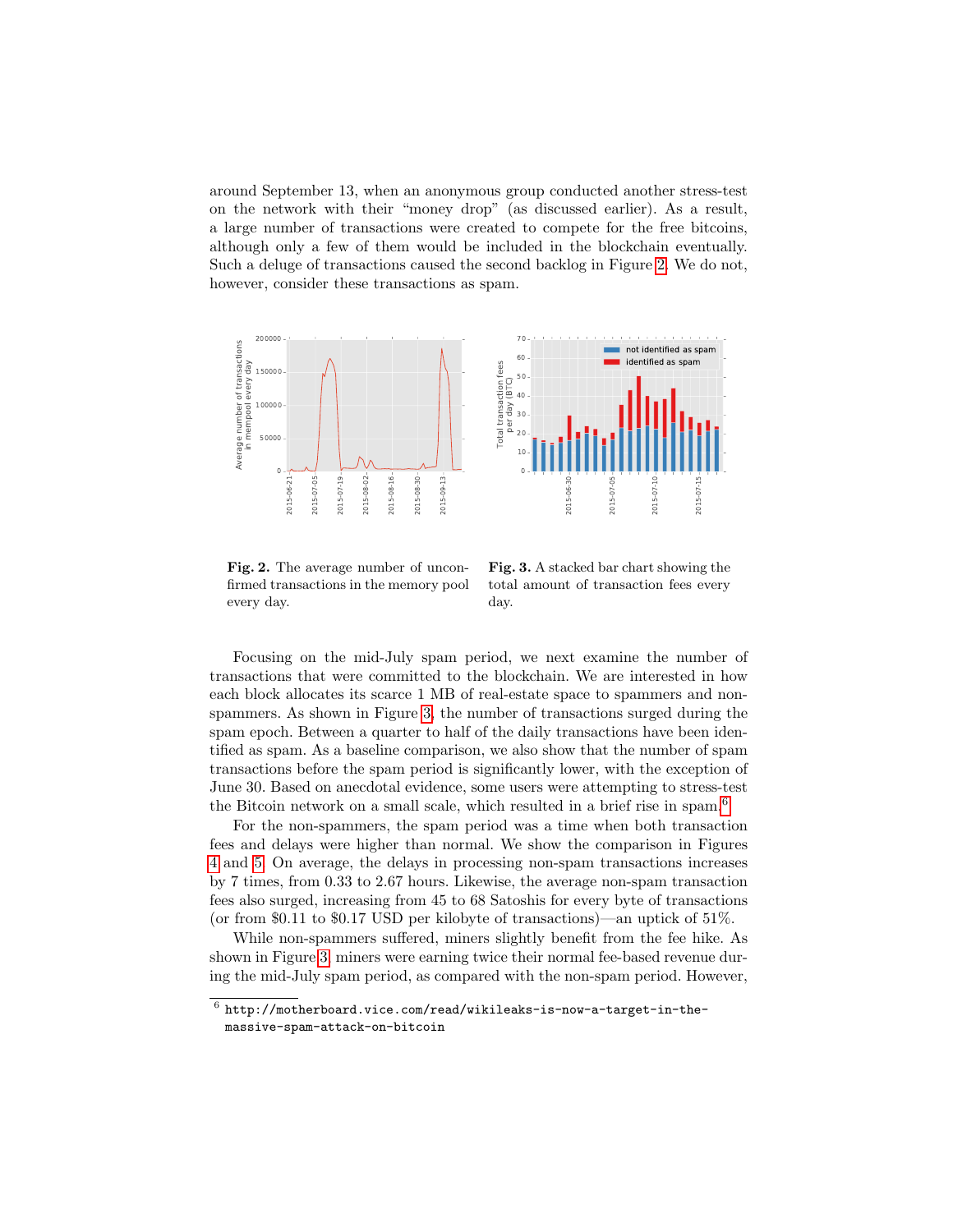around September 13, when an anonymous group conducted another stress-test on the network with their "money drop" (as discussed earlier). As a result, a large number of transactions were created to compete for the free bitcoins, although only a few of them would be included in the blockchain eventually. Such a deluge of transactions caused the second backlog in Figure [2.](#page-11-0) We do not, however, consider these transactions as spam.



<span id="page-11-0"></span>Fig. 2. The average number of unconfirmed transactions in the memory pool every day.

<span id="page-11-1"></span>Fig. 3. A stacked bar chart showing the total amount of transaction fees every day.

Focusing on the mid-July spam period, we next examine the number of transactions that were committed to the blockchain. We are interested in how each block allocates its scarce 1 MB of real-estate space to spammers and nonspammers. As shown in Figure [3,](#page-11-1) the number of transactions surged during the spam epoch. Between a quarter to half of the daily transactions have been identified as spam. As a baseline comparison, we also show that the number of spam transactions before the spam period is significantly lower, with the exception of June 30. Based on anecdotal evidence, some users were attempting to stress-test the Bitcoin network on a small scale, which resulted in a brief rise in spam.[6](#page-11-2)

For the non-spammers, the spam period was a time when both transaction fees and delays were higher than normal. We show the comparison in Figures [4](#page-12-0) and [5.](#page-12-1) On average, the delays in processing non-spam transactions increases by 7 times, from 0.33 to 2.67 hours. Likewise, the average non-spam transaction fees also surged, increasing from 45 to 68 Satoshis for every byte of transactions (or from \$0.11 to \$0.17 USD per kilobyte of transactions)—an uptick of 51%.

While non-spammers suffered, miners slightly benefit from the fee hike. As shown in Figure [3,](#page-11-1) miners were earning twice their normal fee-based revenue during the mid-July spam period, as compared with the non-spam period. However,

<span id="page-11-2"></span> $^6$  http://motherboard.vice.com/read/wikileaks-is-now-a-target-in-themassive-spam-attack-on-bitcoin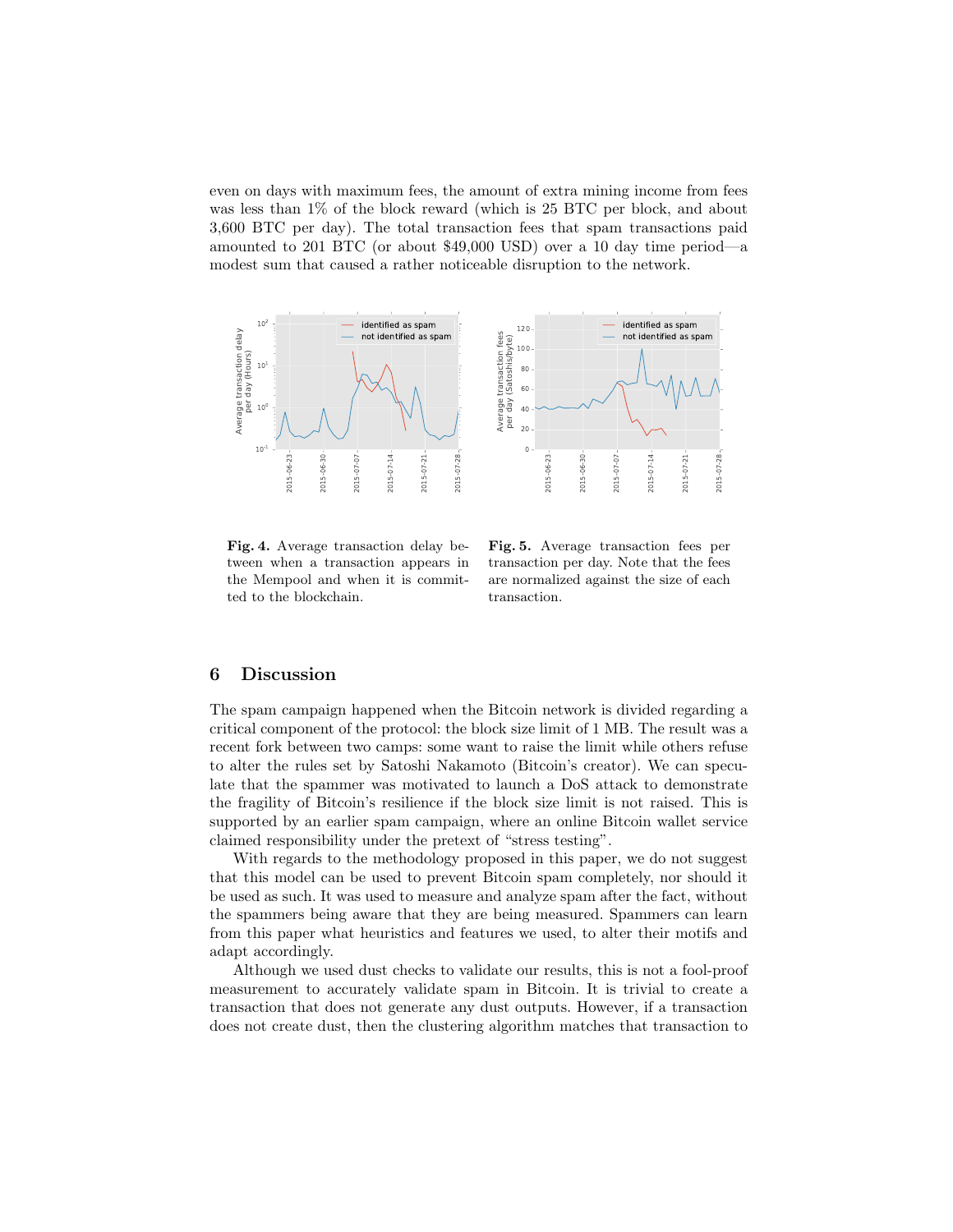even on days with maximum fees, the amount of extra mining income from fees was less than 1% of the block reward (which is 25 BTC per block, and about 3,600 BTC per day). The total transaction fees that spam transactions paid amounted to 201 BTC (or about \$49,000 USD) over a 10 day time period—a modest sum that caused a rather noticeable disruption to the network.



<span id="page-12-0"></span>Fig. 4. Average transaction delay between when a transaction appears in the Mempool and when it is committed to the blockchain.

<span id="page-12-1"></span>Fig. 5. Average transaction fees per transaction per day. Note that the fees are normalized against the size of each transaction.

## 6 Discussion

The spam campaign happened when the Bitcoin network is divided regarding a critical component of the protocol: the block size limit of 1 MB. The result was a recent fork between two camps: some want to raise the limit while others refuse to alter the rules set by Satoshi Nakamoto (Bitcoin's creator). We can speculate that the spammer was motivated to launch a DoS attack to demonstrate the fragility of Bitcoin's resilience if the block size limit is not raised. This is supported by an earlier spam campaign, where an online Bitcoin wallet service claimed responsibility under the pretext of "stress testing".

With regards to the methodology proposed in this paper, we do not suggest that this model can be used to prevent Bitcoin spam completely, nor should it be used as such. It was used to measure and analyze spam after the fact, without the spammers being aware that they are being measured. Spammers can learn from this paper what heuristics and features we used, to alter their motifs and adapt accordingly.

Although we used dust checks to validate our results, this is not a fool-proof measurement to accurately validate spam in Bitcoin. It is trivial to create a transaction that does not generate any dust outputs. However, if a transaction does not create dust, then the clustering algorithm matches that transaction to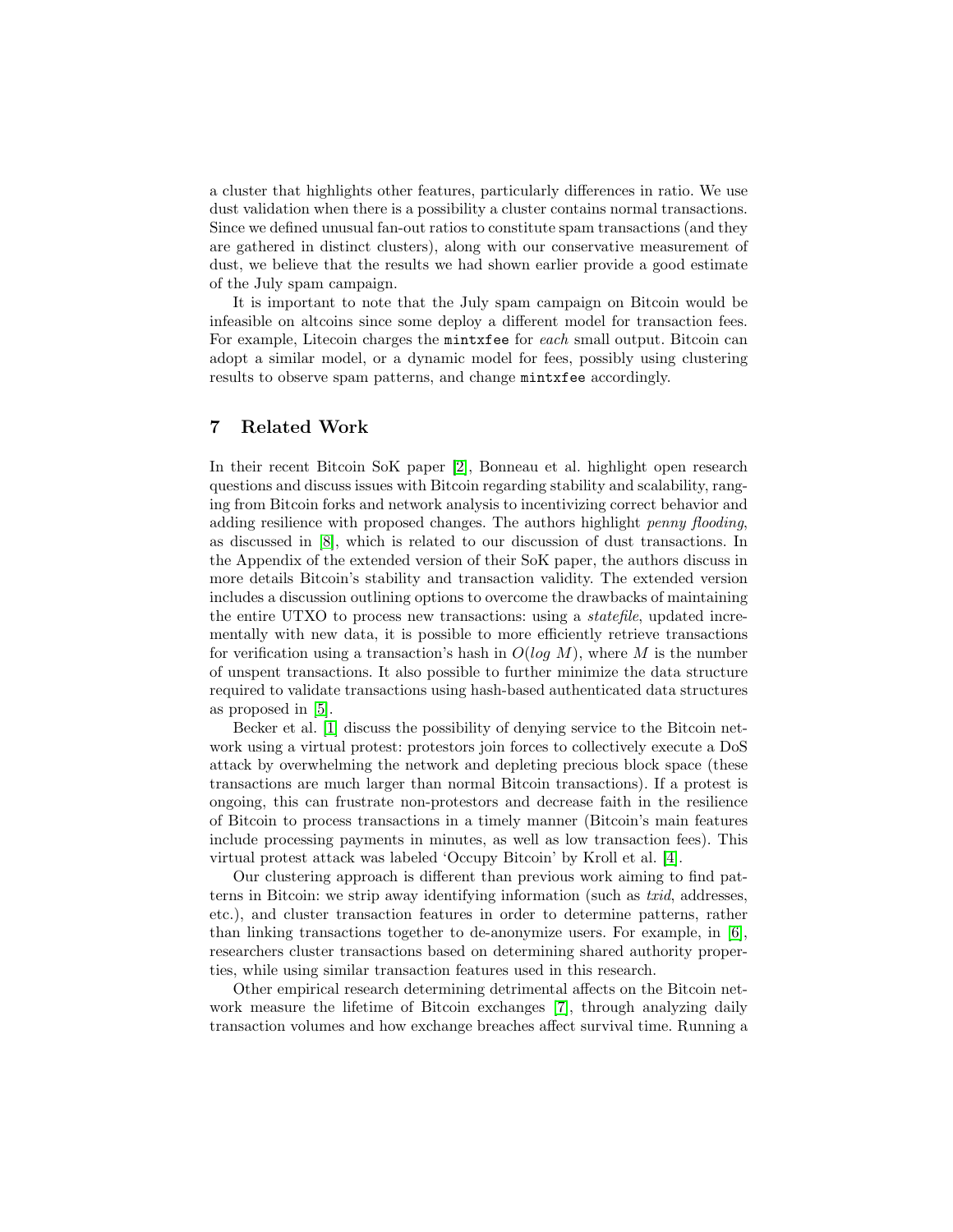a cluster that highlights other features, particularly differences in ratio. We use dust validation when there is a possibility a cluster contains normal transactions. Since we defined unusual fan-out ratios to constitute spam transactions (and they are gathered in distinct clusters), along with our conservative measurement of dust, we believe that the results we had shown earlier provide a good estimate of the July spam campaign.

It is important to note that the July spam campaign on Bitcoin would be infeasible on altcoins since some deploy a different model for transaction fees. For example, Litecoin charges the mintxfee for each small output. Bitcoin can adopt a similar model, or a dynamic model for fees, possibly using clustering results to observe spam patterns, and change mintxfee accordingly.

# 7 Related Work

In their recent Bitcoin SoK paper [\[2\]](#page-14-1), Bonneau et al. highlight open research questions and discuss issues with Bitcoin regarding stability and scalability, ranging from Bitcoin forks and network analysis to incentivizing correct behavior and adding resilience with proposed changes. The authors highlight penny flooding, as discussed in [\[8\]](#page-15-2), which is related to our discussion of dust transactions. In the Appendix of the extended version of their SoK paper, the authors discuss in more details Bitcoin's stability and transaction validity. The extended version includes a discussion outlining options to overcome the drawbacks of maintaining the entire UTXO to process new transactions: using a statefile, updated incrementally with new data, it is possible to more efficiently retrieve transactions for verification using a transaction's hash in  $O(log M)$ , where M is the number of unspent transactions. It also possible to further minimize the data structure required to validate transactions using hash-based authenticated data structures as proposed in [\[5\]](#page-14-2).

Becker et al. [\[1\]](#page-14-3) discuss the possibility of denying service to the Bitcoin network using a virtual protest: protestors join forces to collectively execute a DoS attack by overwhelming the network and depleting precious block space (these transactions are much larger than normal Bitcoin transactions). If a protest is ongoing, this can frustrate non-protestors and decrease faith in the resilience of Bitcoin to process transactions in a timely manner (Bitcoin's main features include processing payments in minutes, as well as low transaction fees). This virtual protest attack was labeled 'Occupy Bitcoin' by Kroll et al. [\[4\]](#page-14-4).

Our clustering approach is different than previous work aiming to find patterns in Bitcoin: we strip away identifying information (such as *txid*, addresses, etc.), and cluster transaction features in order to determine patterns, rather than linking transactions together to de-anonymize users. For example, in [\[6\]](#page-14-5), researchers cluster transactions based on determining shared authority properties, while using similar transaction features used in this research.

Other empirical research determining detrimental affects on the Bitcoin network measure the lifetime of Bitcoin exchanges [\[7\]](#page-14-6), through analyzing daily transaction volumes and how exchange breaches affect survival time. Running a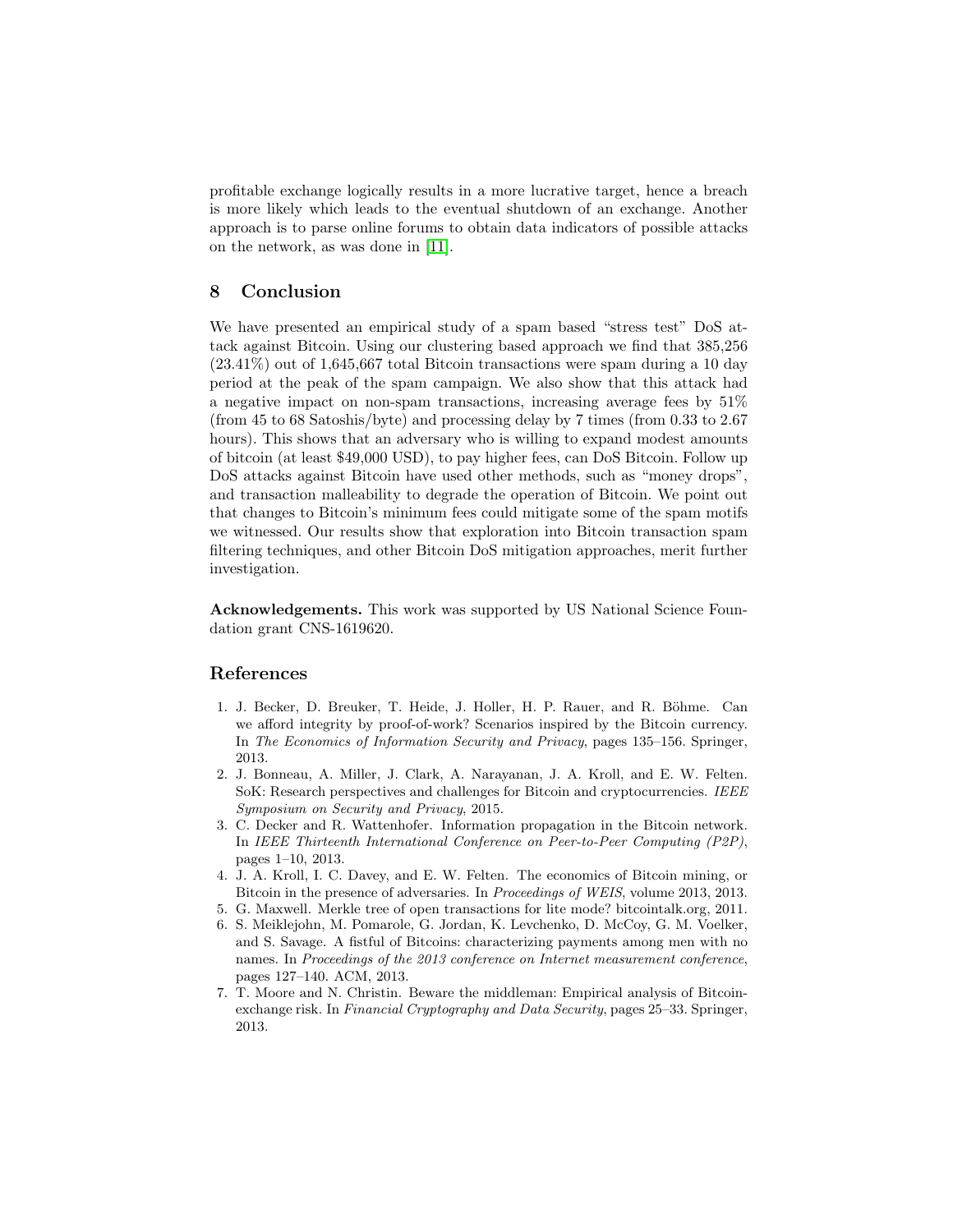profitable exchange logically results in a more lucrative target, hence a breach is more likely which leads to the eventual shutdown of an exchange. Another approach is to parse online forums to obtain data indicators of possible attacks on the network, as was done in [\[11\]](#page-15-3).

# 8 Conclusion

We have presented an empirical study of a spam based "stress test" DoS attack against Bitcoin. Using our clustering based approach we find that 385,256 (23.41%) out of 1,645,667 total Bitcoin transactions were spam during a 10 day period at the peak of the spam campaign. We also show that this attack had a negative impact on non-spam transactions, increasing average fees by 51% (from 45 to 68 Satoshis/byte) and processing delay by 7 times (from 0.33 to 2.67 hours). This shows that an adversary who is willing to expand modest amounts of bitcoin (at least \$49,000 USD), to pay higher fees, can DoS Bitcoin. Follow up DoS attacks against Bitcoin have used other methods, such as "money drops", and transaction malleability to degrade the operation of Bitcoin. We point out that changes to Bitcoin's minimum fees could mitigate some of the spam motifs we witnessed. Our results show that exploration into Bitcoin transaction spam filtering techniques, and other Bitcoin DoS mitigation approaches, merit further investigation.

Acknowledgements. This work was supported by US National Science Foundation grant CNS-1619620.

### References

- <span id="page-14-3"></span>1. J. Becker, D. Breuker, T. Heide, J. Holler, H. P. Rauer, and R. Böhme. Can we afford integrity by proof-of-work? Scenarios inspired by the Bitcoin currency. In The Economics of Information Security and Privacy, pages 135–156. Springer, 2013.
- <span id="page-14-1"></span>2. J. Bonneau, A. Miller, J. Clark, A. Narayanan, J. A. Kroll, and E. W. Felten. SoK: Research perspectives and challenges for Bitcoin and cryptocurrencies. IEEE Symposium on Security and Privacy, 2015.
- <span id="page-14-0"></span>3. C. Decker and R. Wattenhofer. Information propagation in the Bitcoin network. In IEEE Thirteenth International Conference on Peer-to-Peer Computing (P2P), pages 1–10, 2013.
- <span id="page-14-4"></span>4. J. A. Kroll, I. C. Davey, and E. W. Felten. The economics of Bitcoin mining, or Bitcoin in the presence of adversaries. In Proceedings of WEIS, volume 2013, 2013.
- <span id="page-14-2"></span>5. G. Maxwell. Merkle tree of open transactions for lite mode? bitcointalk.org, 2011.
- <span id="page-14-5"></span>6. S. Meiklejohn, M. Pomarole, G. Jordan, K. Levchenko, D. McCoy, G. M. Voelker, and S. Savage. A fistful of Bitcoins: characterizing payments among men with no names. In Proceedings of the 2013 conference on Internet measurement conference, pages 127–140. ACM, 2013.
- <span id="page-14-6"></span>7. T. Moore and N. Christin. Beware the middleman: Empirical analysis of Bitcoinexchange risk. In Financial Cryptography and Data Security, pages 25–33. Springer, 2013.